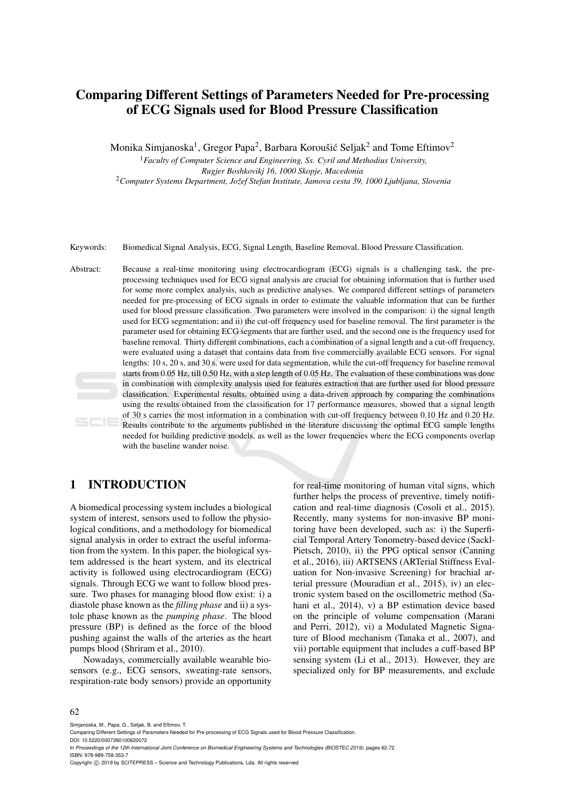# Comparing Different Settings of Parameters Needed for Pre-processing of ECG Signals used for Blood Pressure Classification

Monika Simjanoska $^1$ , Gregor Papa $^2$ , Barbara Koroušić Seljak $^2$  and Tome Eftimov $^2$ 

<sup>1</sup>*Faculty of Computer Science and Engineering, Ss. Cyril and Methodius University, Rugjer Boshkovikj 16, 1000 Skopje, Macedonia* <sup>2</sup>*Computer Systems Department, Jozef Stefan Institute, Jamova cesta 39, 1000 Ljubljana, Slovenia ˇ*

Keywords: Biomedical Signal Analysis, ECG, Signal Length, Baseline Removal, Blood Pressure Classification.

Abstract: Because a real-time monitoring using electrocardiogram (ECG) signals is a challenging task, the preprocessing techniques used for ECG signal analysis are crucial for obtaining information that is further used for some more complex analysis, such as predictive analyses. We compared different settings of parameters needed for pre-processing of ECG signals in order to estimate the valuable information that can be further used for blood pressure classification. Two parameters were involved in the comparison: i) the signal length used for ECG segmentation; and ii) the cut-off frequency used for baseline removal. The first parameter is the parameter used for obtaining ECG segments that are further used, and the second one is the frequency used for baseline removal. Thirty different combinations, each a combination of a signal length and a cut-off frequency, were evaluated using a dataset that contains data from five commercially available ECG sensors. For signal lengths: 10 s, 20 s, and 30 s, were used for data segmentation, while the cut-off frequency for baseline removal starts from 0.05 Hz, till 0.50 Hz, with a step length of 0.05 Hz. The evaluation of these combinations was done in combination with complexity analysis used for features extraction that are further used for blood pressure classification. Experimental results, obtained using a data-driven approach by comparing the combinations using the results obtained from the classification for 17 performance measures, showed that a signal length of 30 s carries the most information in a combination with cut-off frequency between 0.10 Hz and 0.20 Hz. Results contribute to the arguments published in the literature discussing the optimal ECG sample lengths needed for building predictive models, as well as the lower frequencies where the ECG components overlap with the baseline wander noise.

## 1 INTRODUCTION

A biomedical processing system includes a biological system of interest, sensors used to follow the physiological conditions, and a methodology for biomedical signal analysis in order to extract the useful information from the system. In this paper, the biological system addressed is the heart system, and its electrical activity is followed using electrocardiogram (ECG) signals. Through ECG we want to follow blood pressure. Two phases for managing blood flow exist: i) a diastole phase known as the *filling phase* and ii) a systole phase known as the *pumping phase*. The blood pressure (BP) is defined as the force of the blood pushing against the walls of the arteries as the heart pumps blood (Shriram et al., 2010).

Nowadays, commercially available wearable biosensors (e.g., ECG sensors, sweating-rate sensors, respiration-rate body sensors) provide an opportunity

for real-time monitoring of human vital signs, which further helps the process of preventive, timely notification and real-time diagnosis (Cosoli et al., 2015). Recently, many systems for non-invasive BP monitoring have been developed, such as: i) the Superficial Temporal Artery Tonometry-based device (Sackl-Pietsch, 2010), ii) the PPG optical sensor (Canning et al., 2016), iii) ARTSENS (ARTerial Stiffness Evaluation for Non-invasive Screening) for brachial arterial pressure (Mouradian et al., 2015), iv) an electronic system based on the oscillometric method (Sahani et al., 2014), v) a BP estimation device based on the principle of volume compensation (Marani and Perri, 2012), vi) a Modulated Magnetic Signature of Blood mechanism (Tanaka et al., 2007), and vii) portable equipment that includes a cuff-based BP sensing system (Li et al., 2013). However, they are specialized only for BP measurements, and exclude

#### 62

Simjanoska, M., Papa, G., Seljak, B. and Eftimov, T.

Comparing Different Settings of Parameters Needed for Pre-processing of ECG Signals used for Blood Pressure Classification.

DOI: 10.5220/0007390100620072

In *Proceedings of the 12th International Joint Conference on Biomedical Engineering Systems and Technologies (BIOSTEC 2019)*, pages 62-72 ISBN: 978-989-758-353-7

Copyright (C) 2019 by SCITEPRESS - Science and Technology Publications, Lda. All rights reserved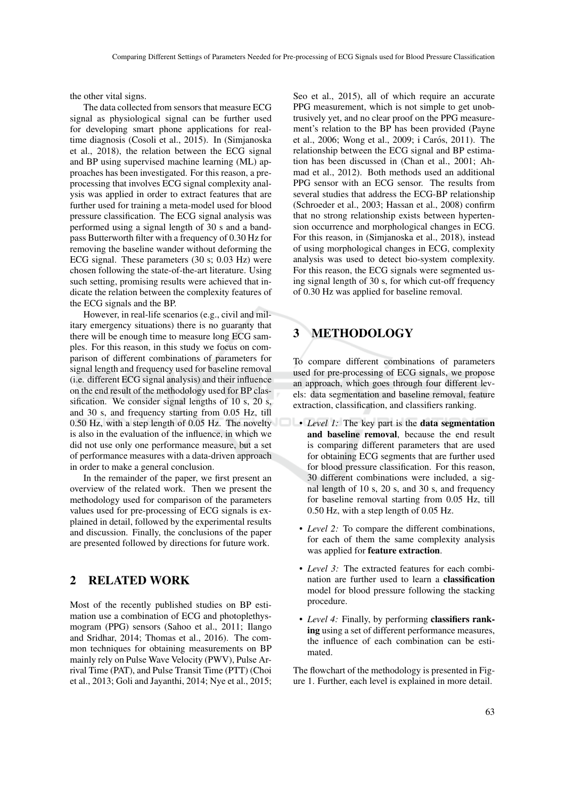the other vital signs.

The data collected from sensors that measure ECG signal as physiological signal can be further used for developing smart phone applications for realtime diagnosis (Cosoli et al., 2015). In (Simjanoska et al., 2018), the relation between the ECG signal and BP using supervised machine learning (ML) approaches has been investigated. For this reason, a preprocessing that involves ECG signal complexity analysis was applied in order to extract features that are further used for training a meta-model used for blood pressure classification. The ECG signal analysis was performed using a signal length of 30 s and a bandpass Butterworth filter with a frequency of 0.30 Hz for removing the baseline wander without deforming the ECG signal. These parameters (30 s; 0.03 Hz) were chosen following the state-of-the-art literature. Using such setting, promising results were achieved that indicate the relation between the complexity features of the ECG signals and the BP.

However, in real-life scenarios (e.g., civil and military emergency situations) there is no guaranty that there will be enough time to measure long ECG samples. For this reason, in this study we focus on comparison of different combinations of parameters for signal length and frequency used for baseline removal (i.e. different ECG signal analysis) and their influence on the end result of the methodology used for BP classification. We consider signal lengths of 10 s, 20 s, and 30 s, and frequency starting from 0.05 Hz, till 0.50 Hz, with a step length of 0.05 Hz. The novelty is also in the evaluation of the influence, in which we did not use only one performance measure, but a set of performance measures with a data-driven approach in order to make a general conclusion.

In the remainder of the paper, we first present an overview of the related work. Then we present the methodology used for comparison of the parameters values used for pre-processing of ECG signals is explained in detail, followed by the experimental results and discussion. Finally, the conclusions of the paper are presented followed by directions for future work.

## 2 RELATED WORK

Most of the recently published studies on BP estimation use a combination of ECG and photoplethysmogram (PPG) sensors (Sahoo et al., 2011; Ilango and Sridhar, 2014; Thomas et al., 2016). The common techniques for obtaining measurements on BP mainly rely on Pulse Wave Velocity (PWV), Pulse Arrival Time (PAT), and Pulse Transit Time (PTT) (Choi et al., 2013; Goli and Jayanthi, 2014; Nye et al., 2015;

Seo et al., 2015), all of which require an accurate PPG measurement, which is not simple to get unobtrusively yet, and no clear proof on the PPG measurement's relation to the BP has been provided (Payne et al., 2006; Wong et al., 2009; i Carós, 2011). The relationship between the ECG signal and BP estimation has been discussed in (Chan et al., 2001; Ahmad et al., 2012). Both methods used an additional PPG sensor with an ECG sensor. The results from several studies that address the ECG-BP relationship (Schroeder et al., 2003; Hassan et al., 2008) confirm that no strong relationship exists between hypertension occurrence and morphological changes in ECG. For this reason, in (Simjanoska et al., 2018), instead of using morphological changes in ECG, complexity analysis was used to detect bio-system complexity. For this reason, the ECG signals were segmented using signal length of 30 s, for which cut-off frequency of 0.30 Hz was applied for baseline removal.

## 3 METHODOLOGY

To compare different combinations of parameters used for pre-processing of ECG signals, we propose an approach, which goes through four different levels: data segmentation and baseline removal, feature extraction, classification, and classifiers ranking.

- *Level 1:* The key part is the **data segmentation** and baseline removal, because the end result is comparing different parameters that are used for obtaining ECG segments that are further used for blood pressure classification. For this reason, 30 different combinations were included, a signal length of 10 s, 20 s, and 30 s, and frequency for baseline removal starting from 0.05 Hz, till 0.50 Hz, with a step length of 0.05 Hz.
	- *Level 2:* To compare the different combinations, for each of them the same complexity analysis was applied for feature extraction.
	- *Level 3:* The extracted features for each combination are further used to learn a classification model for blood pressure following the stacking procedure.
	- *Level 4:* Finally, by performing classifiers ranking using a set of different performance measures, the influence of each combination can be estimated.

The flowchart of the methodology is presented in Figure 1. Further, each level is explained in more detail.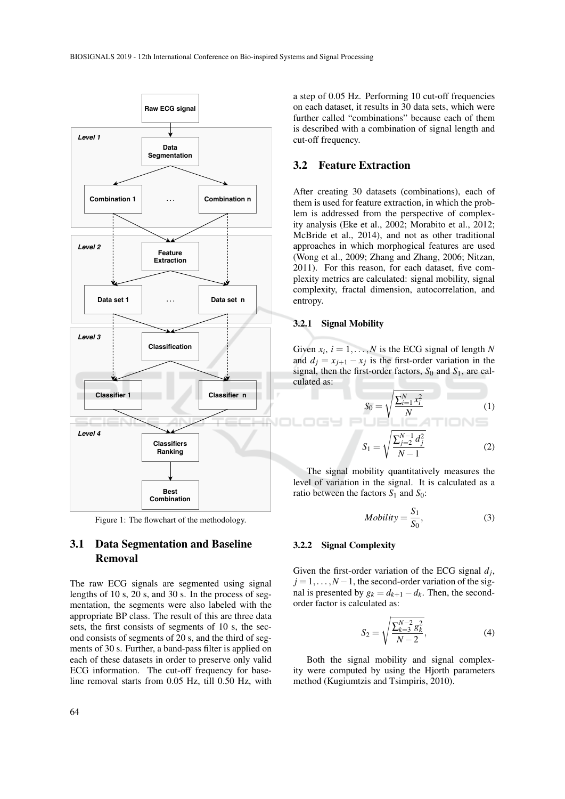

Figure 1: The flowchart of the methodology.

## 3.1 Data Segmentation and Baseline Removal

The raw ECG signals are segmented using signal lengths of 10 s, 20 s, and 30 s. In the process of segmentation, the segments were also labeled with the appropriate BP class. The result of this are three data sets, the first consists of segments of 10 s, the second consists of segments of 20 s, and the third of segments of 30 s. Further, a band-pass filter is applied on each of these datasets in order to preserve only valid ECG information. The cut-off frequency for baseline removal starts from 0.05 Hz, till 0.50 Hz, with

a step of 0.05 Hz. Performing 10 cut-off frequencies on each dataset, it results in 30 data sets, which were further called "combinations" because each of them is described with a combination of signal length and cut-off frequency.

### 3.2 Feature Extraction

After creating 30 datasets (combinations), each of them is used for feature extraction, in which the problem is addressed from the perspective of complexity analysis (Eke et al., 2002; Morabito et al., 2012; McBride et al., 2014), and not as other traditional approaches in which morphogical features are used (Wong et al., 2009; Zhang and Zhang, 2006; Nitzan, 2011). For this reason, for each dataset, five complexity metrics are calculated: signal mobility, signal complexity, fractal dimension, autocorrelation, and entropy.

#### 3.2.1 Signal Mobility

Given  $x_i$ ,  $i = 1, \ldots, N$  is the ECG signal of length N and  $d_j = x_{j+1} - x_j$  is the first-order variation in the signal, then the first-order factors,  $S_0$  and  $S_1$ , are calculated as:

$$
S_0 = \sqrt{\frac{\sum_{i=1}^{N} x_i^2}{N}}
$$
(1)  

$$
S_1 = \sqrt{\frac{\sum_{j=2}^{N-1} d_j^2}{N-1}}
$$
(2)

The signal mobility quantitatively measures the level of variation in the signal. It is calculated as a ratio between the factors  $S_1$  and  $S_0$ :

$$
Mobility = \frac{S_1}{S_0},\tag{3}
$$

#### 3.2.2 Signal Complexity

Given the first-order variation of the ECG signal  $d_j$ ,  $j = 1, \ldots, N-1$ , the second-order variation of the signal is presented by  $g_k = d_{k+1} - d_k$ . Then, the secondorder factor is calculated as:

$$
S_2 = \sqrt{\frac{\sum_{k=3}^{N-2} g_k^2}{N-2}},\tag{4}
$$

Both the signal mobility and signal complexity were computed by using the Hjorth parameters method (Kugiumtzis and Tsimpiris, 2010).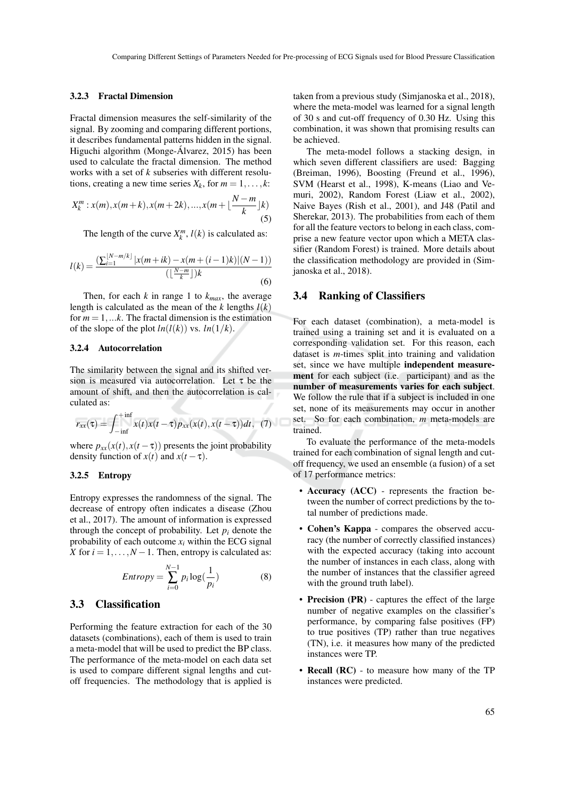#### 3.2.3 Fractal Dimension

Fractal dimension measures the self-similarity of the signal. By zooming and comparing different portions, it describes fundamental patterns hidden in the signal. Higuchi algorithm (Monge-Álvarez, 2015) has been used to calculate the fractal dimension. The method works with a set of *k* subseries with different resolutions, creating a new time series  $X_k$ , for  $m = 1, \ldots, k$ :

$$
X_k^m: x(m), x(m+k), x(m+2k), ..., x(m+\lfloor \frac{N-m}{k} \rfloor k)
$$
\n(5)

The length of the curve  $X_k^m$ ,  $l(k)$  is calculated as:

$$
l(k) = \frac{\left(\sum_{i=1}^{\lfloor N-m/k \rfloor} |x(m+ik) - x(m + (i-1)k)|(N-1)\right)}{\left(\lfloor \frac{N-m}{k} \rfloor\right)k}
$$
(6)

Then, for each *k* in range 1 to  $k_{max}$ , the average length is calculated as the mean of the  $k$  lengths  $l(k)$ for  $m = 1, \ldots k$ . The fractal dimension is the estimation of the slope of the plot  $ln(l(k))$  vs.  $ln(1/k)$ .

#### 3.2.4 Autocorrelation

The similarity between the signal and its shifted version is measured via autocorrelation. Let  $\tau$  be the amount of shift, and then the autocorrelation is calculated as:

$$
r_{xx}(\tau) = \int_{-\inf}^{+\inf} x(t)x(t-\tau)p_{xx}(x(t),x(t-\tau))dt, \tag{7}
$$

where  $p_{xx}(x(t), x(t-\tau))$  presents the joint probability density function of  $x(t)$  and  $x(t-\tau)$ .

#### 3.2.5 Entropy

Entropy expresses the randomness of the signal. The decrease of entropy often indicates a disease (Zhou et al., 2017). The amount of information is expressed through the concept of probability. Let  $p_i$  denote the probability of each outcome  $x_i$  within the ECG signal *X* for  $i = 1, \ldots, N - 1$ . Then, entropy is calculated as:

$$
Entropy = \sum_{i=0}^{N-1} p_i \log(\frac{1}{p_i})
$$
 (8)

#### 3.3 Classification

Performing the feature extraction for each of the 30 datasets (combinations), each of them is used to train a meta-model that will be used to predict the BP class. The performance of the meta-model on each data set is used to compare different signal lengths and cutoff frequencies. The methodology that is applied is

taken from a previous study (Simjanoska et al., 2018), where the meta-model was learned for a signal length of 30 s and cut-off frequency of 0.30 Hz. Using this combination, it was shown that promising results can be achieved.

The meta-model follows a stacking design, in which seven different classifiers are used: Bagging (Breiman, 1996), Boosting (Freund et al., 1996), SVM (Hearst et al., 1998), K-means (Liao and Vemuri, 2002), Random Forest (Liaw et al., 2002), Naive Bayes (Rish et al., 2001), and J48 (Patil and Sherekar, 2013). The probabilities from each of them for all the feature vectors to belong in each class, comprise a new feature vector upon which a META classifier (Random Forest) is trained. More details about the classification methodology are provided in (Simjanoska et al., 2018).

### 3.4 Ranking of Classifiers

For each dataset (combination), a meta-model is trained using a training set and it is evaluated on a corresponding validation set. For this reason, each dataset is *m*-times split into training and validation set, since we have multiple independent measurement for each subject (i.e. participant) and as the number of measurements varies for each subject. We follow the rule that if a subject is included in one set, none of its measurements may occur in another set. So for each combination, *m* meta-models are trained.

To evaluate the performance of the meta-models trained for each combination of signal length and cutoff frequency, we used an ensemble (a fusion) of a set of 17 performance metrics:

- Accuracy (ACC) represents the fraction between the number of correct predictions by the total number of predictions made.
- Cohen's Kappa compares the observed accuracy (the number of correctly classified instances) with the expected accuracy (taking into account the number of instances in each class, along with the number of instances that the classifier agreed with the ground truth label).
- Precision (PR) captures the effect of the large number of negative examples on the classifier's performance, by comparing false positives (FP) to true positives (TP) rather than true negatives (TN), i.e. it measures how many of the predicted instances were TP.
- **Recall (RC)** to measure how many of the TP instances were predicted.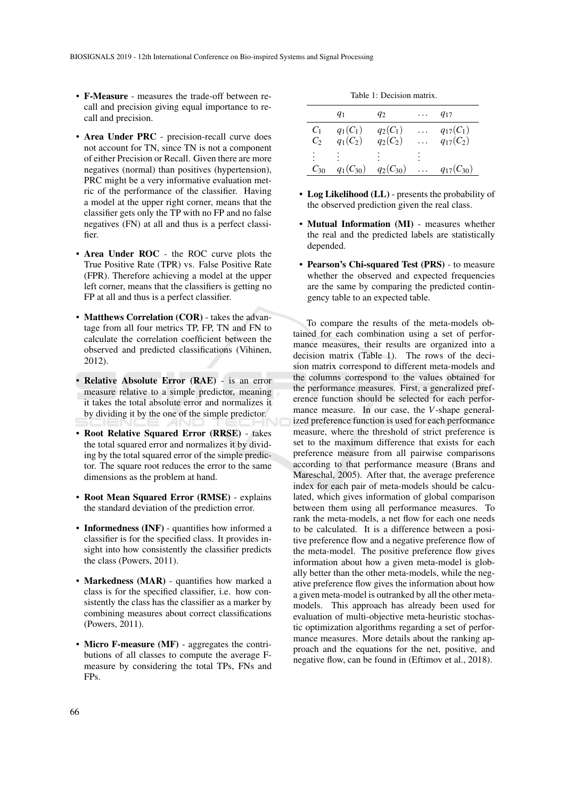- F-Measure measures the trade-off between recall and precision giving equal importance to recall and precision.
- Area Under PRC precision-recall curve does not account for TN, since TN is not a component of either Precision or Recall. Given there are more negatives (normal) than positives (hypertension), PRC might be a very informative evaluation metric of the performance of the classifier. Having a model at the upper right corner, means that the classifier gets only the TP with no FP and no false negatives (FN) at all and thus is a perfect classifier.
- Area Under ROC the ROC curve plots the True Positive Rate (TPR) vs. False Positive Rate (FPR). Therefore achieving a model at the upper left corner, means that the classifiers is getting no FP at all and thus is a perfect classifier.
- Matthews Correlation (COR) takes the advantage from all four metrics TP, FP, TN and FN to calculate the correlation coefficient between the observed and predicted classifications (Vihinen, 2012).
- Relative Absolute Error (RAE) is an error measure relative to a simple predictor, meaning it takes the total absolute error and normalizes it by dividing it by the one of the simple predictor.
- Root Relative Squared Error (RRSE) takes the total squared error and normalizes it by dividing by the total squared error of the simple predictor. The square root reduces the error to the same dimensions as the problem at hand.
- Root Mean Squared Error (RMSE) explains the standard deviation of the prediction error.
- Informedness (INF) quantifies how informed a classifier is for the specified class. It provides insight into how consistently the classifier predicts the class (Powers, 2011).
- Markedness (MAR) quantifies how marked a class is for the specified classifier, i.e. how consistently the class has the classifier as a marker by combining measures about correct classifications (Powers, 2011).
- Micro F-measure (MF) aggregates the contributions of all classes to compute the average Fmeasure by considering the total TPs, FNs and FPs.

Table 1: Decision matrix.

|                   | $q_1$         | $q_2$         | . | $q_{17}$         |
|-------------------|---------------|---------------|---|------------------|
| $C_1$             | $q_1(C_1)$    | $q_2(C_1)$    |   | $q_{17}(C_1)$    |
| $\mathcal{C}_{2}$ | $q_1(C_2)$    | $q_2(C_2)$    |   | $q_{17}(C_2)$    |
| $\ddot{\cdot}$    |               |               |   |                  |
| $C_{30}$          | $q_1(C_{30})$ | $q_2(C_{30})$ | . | $q_{17}(C_{30})$ |

- Log Likelihood (LL) presents the probability of the observed prediction given the real class.
- Mutual Information (MI) measures whether the real and the predicted labels are statistically depended.
- Pearson's Chi-squared Test (PRS) to measure whether the observed and expected frequencies are the same by comparing the predicted contingency table to an expected table.

To compare the results of the meta-models obtained for each combination using a set of performance measures, their results are organized into a decision matrix (Table 1). The rows of the decision matrix correspond to different meta-models and the columns correspond to the values obtained for the performance measures. First, a generalized preference function should be selected for each performance measure. In our case, the *V*-shape generalized preference function is used for each performance measure, where the threshold of strict preference is set to the maximum difference that exists for each preference measure from all pairwise comparisons according to that performance measure (Brans and Mareschal, 2005). After that, the average preference index for each pair of meta-models should be calculated, which gives information of global comparison between them using all performance measures. To rank the meta-models, a net flow for each one needs to be calculated. It is a difference between a positive preference flow and a negative preference flow of the meta-model. The positive preference flow gives information about how a given meta-model is globally better than the other meta-models, while the negative preference flow gives the information about how a given meta-model is outranked by all the other metamodels. This approach has already been used for evaluation of multi-objective meta-heuristic stochastic optimization algorithms regarding a set of performance measures. More details about the ranking approach and the equations for the net, positive, and negative flow, can be found in (Eftimov et al., 2018).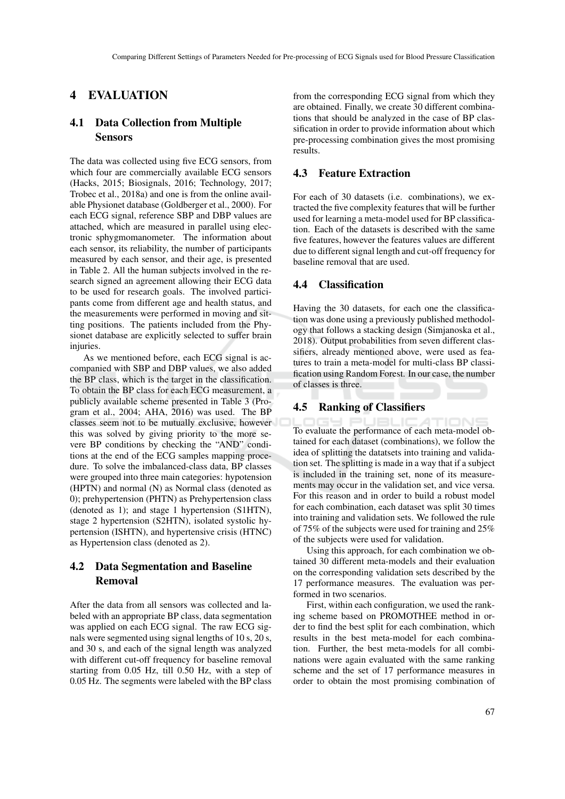## 4 EVALUATION

## 4.1 Data Collection from Multiple Sensors

The data was collected using five ECG sensors, from which four are commercially available ECG sensors (Hacks, 2015; Biosignals, 2016; Technology, 2017; Trobec et al., 2018a) and one is from the online available Physionet database (Goldberger et al., 2000). For each ECG signal, reference SBP and DBP values are attached, which are measured in parallel using electronic sphygmomanometer. The information about each sensor, its reliability, the number of participants measured by each sensor, and their age, is presented in Table 2. All the human subjects involved in the research signed an agreement allowing their ECG data to be used for research goals. The involved participants come from different age and health status, and the measurements were performed in moving and sitting positions. The patients included from the Physionet database are explicitly selected to suffer brain injuries.

As we mentioned before, each ECG signal is accompanied with SBP and DBP values, we also added the BP class, which is the target in the classification. To obtain the BP class for each ECG measurement, a publicly available scheme presented in Table 3 (Program et al., 2004; AHA, 2016) was used. The BP classes seem not to be mutually exclusive, however this was solved by giving priority to the more severe BP conditions by checking the "AND" conditions at the end of the ECG samples mapping procedure. To solve the imbalanced-class data, BP classes were grouped into three main categories: hypotension (HPTN) and normal (N) as Normal class (denoted as 0); prehypertension (PHTN) as Prehypertension class (denoted as 1); and stage 1 hypertension (S1HTN), stage 2 hypertension (S2HTN), isolated systolic hypertension (ISHTN), and hypertensive crisis (HTNC) as Hypertension class (denoted as 2).

## 4.2 Data Segmentation and Baseline Removal

After the data from all sensors was collected and labeled with an appropriate BP class, data segmentation was applied on each ECG signal. The raw ECG signals were segmented using signal lengths of 10 s, 20 s, and 30 s, and each of the signal length was analyzed with different cut-off frequency for baseline removal starting from 0.05 Hz, till 0.50 Hz, with a step of 0.05 Hz. The segments were labeled with the BP class

from the corresponding ECG signal from which they are obtained. Finally, we create 30 different combinations that should be analyzed in the case of BP classification in order to provide information about which pre-processing combination gives the most promising results.

### 4.3 Feature Extraction

For each of 30 datasets (i.e. combinations), we extracted the five complexity features that will be further used for learning a meta-model used for BP classification. Each of the datasets is described with the same five features, however the features values are different due to different signal length and cut-off frequency for baseline removal that are used.

### 4.4 Classification

Having the 30 datasets, for each one the classification was done using a previously published methodology that follows a stacking design (Simjanoska et al., 2018). Output probabilities from seven different classifiers, already mentioned above, were used as features to train a meta-model for multi-class BP classification using Random Forest. In our case, the number of classes is three.

#### 4.5 Ranking of Classifiers

TION To evaluate the performance of each meta-model obtained for each dataset (combinations), we follow the idea of splitting the datatsets into training and validation set. The splitting is made in a way that if a subject is included in the training set, none of its measurements may occur in the validation set, and vice versa. For this reason and in order to build a robust model for each combination, each dataset was split 30 times into training and validation sets. We followed the rule of 75% of the subjects were used for training and 25% of the subjects were used for validation.

Using this approach, for each combination we obtained 30 different meta-models and their evaluation on the corresponding validation sets described by the 17 performance measures. The evaluation was performed in two scenarios.

First, within each configuration, we used the ranking scheme based on PROMOTHEE method in order to find the best split for each combination, which results in the best meta-model for each combination. Further, the best meta-models for all combinations were again evaluated with the same ranking scheme and the set of 17 performance measures in order to obtain the most promising combination of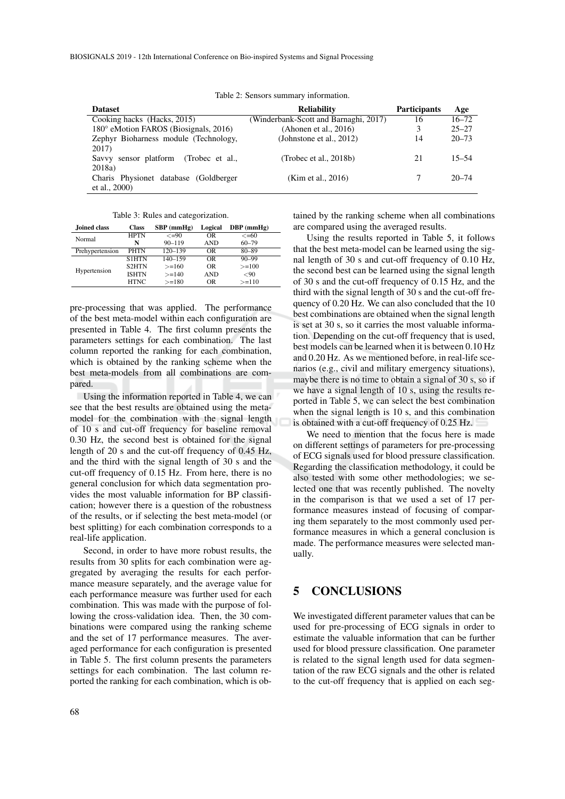| <b>Dataset</b>                        | <b>Reliability</b>                    | <b>Participants</b> | Age       |
|---------------------------------------|---------------------------------------|---------------------|-----------|
| Cooking hacks (Hacks, 2015)           | (Winderbank-Scott and Barnaghi, 2017) | 16                  | $16 - 72$ |
| 180° eMotion FAROS (Biosignals, 2016) | (Ahonen et al., $2016$ )              | 3                   | $25 - 27$ |
| Zephyr Bioharness module (Technology, | (Johnstone et al., $2012$ )           | 14                  | $20 - 73$ |
| 2017)                                 |                                       |                     |           |
| Savvy sensor platform (Trobec et al., | (Trobec et al., $2018b$ )             | 21                  | $15 - 54$ |
| 2018a                                 |                                       |                     |           |
| Charis Physionet database (Goldberger | (Kim et al., 2016)                    |                     | $20 - 74$ |
| et al., $2000$ )                      |                                       |                     |           |

Table 2: Sensors summary information.

Table 3: Rules and categorization.

| Joined class    | <b>Class</b> | $SBP$ (mmHg) | Logical    | $DBP$ (mmHg) |
|-----------------|--------------|--------------|------------|--------------|
| Normal          | <b>HPTN</b>  | $\leq$ =90   | <b>OR</b>  | $<< = 60$    |
|                 | N            | $90 - 119$   | <b>AND</b> | $60 - 79$    |
| Prehypertension | <b>PHTN</b>  | $120 - 139$  | <b>OR</b>  | $80 - 89$    |
|                 | <b>S1HTN</b> | $140 - 159$  | <b>OR</b>  | $90 - 99$    |
|                 | <b>S2HTN</b> | $>=160$      | <b>OR</b>  | $>=100$      |
| Hypertension    | <b>ISHTN</b> | $>=140$      | <b>AND</b> | ${<}90$      |
|                 | HTNC         | $>=180$      | 0R.        | $>=110$      |

pre-processing that was applied. The performance of the best meta-model within each configuration are presented in Table 4. The first column presents the parameters settings for each combination. The last column reported the ranking for each combination, which is obtained by the ranking scheme when the best meta-models from all combinations are compared.

Using the information reported in Table 4, we can see that the best results are obtained using the metamodel for the combination with the signal length of 10 s and cut-off frequency for baseline removal 0.30 Hz, the second best is obtained for the signal length of 20 s and the cut-off frequency of 0.45 Hz, and the third with the signal length of 30 s and the cut-off frequency of 0.15 Hz. From here, there is no general conclusion for which data segmentation provides the most valuable information for BP classification; however there is a question of the robustness of the results, or if selecting the best meta-model (or best splitting) for each combination corresponds to a real-life application.

Second, in order to have more robust results, the results from 30 splits for each combination were aggregated by averaging the results for each performance measure separately, and the average value for each performance measure was further used for each combination. This was made with the purpose of following the cross-validation idea. Then, the 30 combinations were compared using the ranking scheme and the set of 17 performance measures. The averaged performance for each configuration is presented in Table 5. The first column presents the parameters settings for each combination. The last column reported the ranking for each combination, which is ob-

68

tained by the ranking scheme when all combinations are compared using the averaged results.

Using the results reported in Table 5, it follows that the best meta-model can be learned using the signal length of 30 s and cut-off frequency of 0.10 Hz, the second best can be learned using the signal length of 30 s and the cut-off frequency of 0.15 Hz, and the third with the signal length of 30 s and the cut-off frequency of 0.20 Hz. We can also concluded that the 10 best combinations are obtained when the signal length is set at 30 s, so it carries the most valuable information. Depending on the cut-off frequency that is used, best models can be learned when it is between 0.10 Hz and 0.20 Hz. As we mentioned before, in real-life scenarios (e.g., civil and military emergency situations), maybe there is no time to obtain a signal of 30 s, so if we have a signal length of 10 s, using the results reported in Table 5, we can select the best combination when the signal length is 10 s, and this combination is obtained with a cut-off frequency of 0.25 Hz.

We need to mention that the focus here is made on different settings of parameters for pre-processing of ECG signals used for blood pressure classification. Regarding the classification methodology, it could be also tested with some other methodologies; we selected one that was recently published. The novelty in the comparison is that we used a set of 17 performance measures instead of focusing of comparing them separately to the most commonly used performance measures in which a general conclusion is made. The performance measures were selected manually.

# 5 CONCLUSIONS

We investigated different parameter values that can be used for pre-processing of ECG signals in order to estimate the valuable information that can be further used for blood pressure classification. One parameter is related to the signal length used for data segmentation of the raw ECG signals and the other is related to the cut-off frequency that is applied on each seg-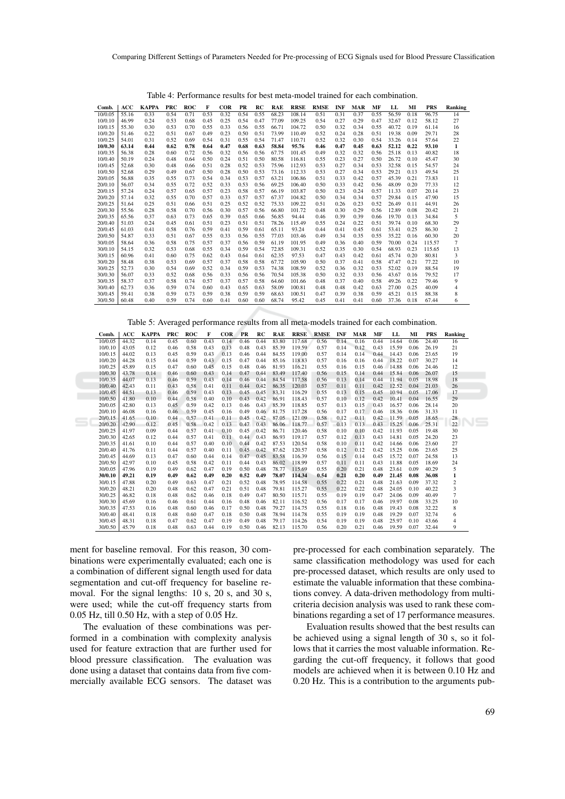| Comb.   | ACC   | <b>KAPPA</b> | <b>PRC</b> | <b>ROC</b> | F    | <b>COR</b> | PR   | RC   | <b>RAE</b> | <b>RRSE</b> | <b>RMSE</b> | <b>INF</b> | <b>MAR</b> | MF   | LL    | MI   | <b>PRS</b> | Ranking        |
|---------|-------|--------------|------------|------------|------|------------|------|------|------------|-------------|-------------|------------|------------|------|-------|------|------------|----------------|
| 10/0.05 | 55.16 | 0.33         | 0.54       | 0.71       | 0.53 | 0.32       | 0.54 | 0.55 | 68.23      | 108.14      | 0.51        | 0.31       | 0.37       | 0.55 | 56.59 | 0.18 | 96.75      | 14             |
| 10/0.10 | 46.99 | 0.24         | 0.53       | 0.68       | 0.45 | 0.25       | 0.54 | 0.47 | 77.09      | 109.25      | 0.54        | 0.27       | 0.29       | 0.47 | 32.67 | 0.12 | 58.12      | 27             |
| 10/0.15 | 55.30 | 0.30         | 0.53       | 0.70       | 0.55 | 0.33       | 0.56 | 0.55 | 66.71      | 104.72      | 0.50        | 0.32       | 0.34       | 0.55 | 40.72 | 0.19 | 61.14      | 16             |
| 10/0.20 | 51.46 | 0.22         | 0.51       | 0.67       | 0.49 | 0.23       | 0.50 | 0.51 | 73.99      | 110.49      | 0.52        | 0.24       | 0.28       | 0.51 | 19.38 | 0.09 | 29.71      | 28             |
| 10/0.25 | 54.01 | 0.31         | 0.52       | 0.69       | 0.54 | 0.31       | 0.55 | 0.54 | 71.47      | 110.71      | 0.52        | 0.32       | 0.30       | 0.54 | 33.26 | 0.14 | 57.64      | 22             |
| 10/0.30 | 63.14 | 0.44         | 0.62       | 0.78       | 0.64 | 0.47       | 0.68 | 0.63 | 58.84      | 95.76       | 0.46        | 0.47       | 0.45       | 0.63 | 52.12 | 0.22 | 93.10      | 1              |
| 10/0.35 | 56.38 | 0.28         | 0.60       | 0.72       | 0.56 | 0.32       | 0.56 | 0.56 | 67.75      | 101.45      | 0.49        | 0.32       | 0.32       | 0.56 | 25.18 | 0.13 | 40.82      | 18             |
| 10/0.40 | 50.19 | 0.24         | 0.48       | 0.64       | 0.50 | 0.24       | 0.51 | 0.50 | 80.58      | 116.81      | 0.55        | 0.23       | 0.27       | 0.50 | 26.72 | 0.10 | 45.47      | 30             |
| 10/0.45 | 52.68 | 0.30         | 0.48       | 0.66       | 0.51 | 0.28       | 0.52 | 0.53 | 75.96      | 112.93      | 0.53        | 0.27       | 0.34       | 0.53 | 32.58 | 0.15 | 54.57      | 24             |
| 10/0.50 | 52.68 | 0.29         | 0.49       | 0.67       | 0.50 | 0.28       | 0.50 | 0.53 | 73.16      | 112.33      | 0.53        | 0.27       | 0.34       | 0.53 | 29.21 | 0.13 | 49.54      | 25             |
| 20/0.05 | 56.88 | 0.35         | 0.55       | 0.73       | 0.54 | 0.34       | 0.53 | 0.57 | 63.21      | 106.86      | 0.51        | 0.33       | 0.42       | 0.57 | 45.39 | 0.21 | 73.83      | 11             |
| 20/0.10 | 56.07 | 0.34         | 0.55       | 0.72       | 0.52 | 0.33       | 0.53 | 0.56 | 69.25      | 106.40      | 0.50        | 0.33       | 0.42       | 0.56 | 48.09 | 0.20 | 77.33      | 12             |
| 20/0.15 | 57.24 | 0.24         | 0.57       | 0.65       | 0.57 | 0.23       | 0.58 | 0.57 | 66.19      | 103.87      | 0.50        | 0.23       | 0.24       | 0.57 | 11.33 | 0.07 | 20.14      | 23             |
| 20/0.20 | 57.14 | 0.32         | 0.55       | 0.70       | 0.57 | 0.33       | 0.57 | 0.57 | 67.37      | 104.82      | 0.50        | 0.34       | 0.34       | 0.57 | 29.84 | 0.15 | 47.90      | 15             |
| 20/0.25 | 51.64 | 0.25         | 0.51       | 0.66       | 0.51 | 0.25       | 0.52 | 0.52 | 75.33      | 109.22      | 0.51        | 0.26       | 0.23       | 0.52 | 26.49 | 0.11 | 44.91      | 26             |
| 20/0.30 | 55.56 | 0.28         | 0.58       | 0.70       | 0.56 | 0.30       | 0.57 | 0.56 | 66.80      | 101.72      | 0.48        | 0.30       | 0.29       | 0.56 | 12.89 | 0.08 | 20.42      | 21             |
| 20/0.35 | 65.56 | 0.37         | 0.63       | 0.73       | 0.65 | 0.39       | 0.65 | 0.66 | 56.85      | 94.44       | 0.46        | 0.39       | 0.39       | 0.66 | 19.70 | 0.13 | 34.84      | 5              |
| 20/0.40 | 51.03 | 0.24         | 0.45       | 0.61       | 0.51 | 0.23       | 0.51 | 0.51 | 78.26      | 115.49      | 0.55        | 0.24       | 0.22       | 0.51 | 39.74 | 0.10 | 68.30      | 29             |
| 20/0.45 | 61.03 | 0.41         | 0.58       | 0.76       | 0.59 | 0.41       | 0.59 | 0.61 | 65.11      | 93.24       | 0.44        | 0.41       | 0.45       | 0.61 | 53.41 | 0.25 | 86.30      | $\overline{c}$ |
| 20/0.50 | 54.87 | 0.33         | 0.51       | 0.67       | 0.55 | 0.33       | 0.56 | 0.55 | 77.03      | 103.46      | 0.49        | 0.34       | 0.35       | 0.55 | 35.22 | 0.16 | 60.30      | 20             |
| 30/0.05 | 58.64 | 0.36         | 0.58       | 0.75       | 0.57 | 0.37       | 0.56 | 0.59 | 61.19      | 101.95      | 0.49        | 0.36       | 0.40       | 0.59 | 70.00 | 0.24 | 115.57     | $\overline{7}$ |
| 30/0.10 | 54.15 | 0.32         | 0.53       | 0.68       | 0.55 | 0.34       | 0.59 | 0.54 | 72.85      | 109.31      | 0.52        | 0.35       | 0.30       | 0.54 | 68.93 | 0.23 | 115.65     | 13             |
| 30/0.15 | 60.96 | 0.41         | 0.60       | 0.75       | 0.62 | 0.43       | 0.64 | 0.61 | 62.35      | 97.53       | 0.47        | 0.43       | 0.42       | 0.61 | 45.74 | 0.20 | 80.81      | 3              |
| 30/0.20 | 58.48 | 0.38         | 0.53       | 0.69       | 0.57 | 0.37       | 0.58 | 0.58 | 67.72      | 105.90      | 0.50        | 0.37       | 0.41       | 0.58 | 47.47 | 0.21 | 77.22      | 10             |
| 30/0.25 | 52.73 | 0.30         | 0.54       | 0.69       | 0.52 | 0.34       | 0.59 | 0.53 | 74.38      | 108.59      | 0.52        | 0.36       | 0.32       | 0.53 | 52.02 | 0.19 | 88.54      | 19             |
| 30/0.30 | 56.07 | 0.33         | 0.52       | 0.68       | 0.56 | 0.33       | 0.56 | 0.56 | 70.54      | 105.38      | 0.50        | 0.32       | 0.33       | 0.56 | 43.67 | 0.16 | 79.52      | 17             |
| 30/0.35 | 58.37 | 0.37         | 0.58       | 0.74       | 0.57 | 0.37       | 0.57 | 0.58 | 64.60      | 101.66      | 0.48        | 0.37       | 0.40       | 0.58 | 49.26 | 0.22 | 79.46      | 9              |
| 30/0.40 | 62.73 | 0.36         | 0.59       | 0.74       | 0.60 | 0.43       | 0.65 | 0.63 | 58.09      | 100.81      | 0.48        | 0.48       | 0.42       | 0.63 | 27.00 | 0.25 | 40.09      | 4              |
| 30/0.45 | 59.41 | 0.38         | 0.59       | 0.73       | 0.59 | 0.38       | 0.59 | 0.59 | 68.63      | 100.51      | 0.47        | 0.39       | 0.38       | 0.59 | 45.21 | 0.15 | 88.38      | 8              |
| 30/0.50 | 60.48 | 0.40         | 0.59       | 0.74       | 0.60 | 0.41       | 0.60 | 0.60 | 68.74      | 95.42       | 0.45        | 0.41       | 0.41       | 0.60 | 37.36 | 0.18 | 67.44      | 6              |

Table 4: Performance results for best meta-model trained for each combination.

Table 5: Averaged performance results from all meta-models trained for each combination.

| Comb.   | ACC   | <b>KAPPA</b> | <b>PRC</b> | <b>ROC</b> | F    | <b>COR</b> | <b>PR</b> | RC   | <b>RAE</b> | <b>RRSE</b> | <b>RMSE</b> | <b>INF</b> | <b>MAR</b> | MF   | LL    | MI   | <b>PRS</b> | Ranking        |
|---------|-------|--------------|------------|------------|------|------------|-----------|------|------------|-------------|-------------|------------|------------|------|-------|------|------------|----------------|
| 10/0.05 | 44.32 | 0.14         | 0.45       | 0.60       | 0.43 | 0.14       | 0.46      | 0.44 | 83.80      | 117.68      | 0.56        | 0.14       | 0.16       | 0.44 | 14.64 | 0.06 | 24.40      | 16             |
| 10/0.10 | 43.05 | 0.12         | 0.46       | 0.58       | 0.43 | 0.13       | 0.48      | 0.43 | 85.39      | 119.59      | 0.57        | 0.14       | 0.12       | 0.43 | 15.59 | 0.06 | 26.19      | 21             |
| 10/0.15 | 44.02 | 0.13         | 0.45       | 0.59       | 0.43 | 0.13       | 0.46      | 0.44 | 84.55      | 119.00      | 0.57        | 0.14       | 0.14       | 0.44 | 14.43 | 0.06 | 23.65      | 19             |
| 10/0.20 | 44.28 | 0.15         | 0.44       | 0.59       | 0.43 | 0.15       | 0.47      | 0.44 | 85.16      | 118.83      | 0.57        | 0.16       | 0.16       | 0.44 | 18.22 | 0.07 | 30.27      | 14             |
| 10/0.25 | 45.89 | 0.15         | 0.47       | 0.60       | 0.45 | 0.15       | 0.48      | 0.46 | 81.93      | 116.21      | 0.55        | 0.16       | 0.15       | 0.46 | 14.88 | 0.06 | 24.46      | 12             |
| 10/0.30 | 43.78 | 0.14         | 0.46       | 0.60       | 0.43 | 0.14       | 0.47      | 0.44 | 83.49      | 117.40      | 0.56        | 0.15       | 0.14       | 0.44 | 15.84 | 0.06 | 26.07      | 15             |
| 10/0.35 | 44.07 | 0.13         | 0.46       | 0.59       | 0.43 | 0.14       | 0.46      | 0.44 | 84.54      | 117.58      | 0.56        | 0.13       | 0.14       | 0.44 | 11.94 | 0.05 | 18.98      | 18             |
| 10/0.40 | 42.43 | 0.11         | 0.43       | 0.58       | 0.41 | 0.11       | 0.44      | 0.42 | 86.35      | 120.03      | 0.57        | 0.11       | 0.11       | 0.42 | 12.52 | 0.04 | 21.03      | 26             |
| 10/0.45 | 44.51 | 0.13         | 0.46       | 0.59       | 0.43 | 0.13       | 0.45      | 0.45 | 83.31      | 116.29      | 0.55        | 0.13       | 0.15       | 0.45 | 10.94 | 0.05 | 17.06      | 17             |
| 10/0.50 | 41.80 | 0.10         | 0.44       | 0.58       | 0.40 | 0.10       | 0.43      | 0.42 | 86.91      | 118.43      | 0.57        | 0.10       | 0.12       | 0.42 | 10.41 | 0.04 | 16.55      | 29             |
| 20/0.05 | 42.80 | 0.13         | 0.45       | 0.59       | 0.42 | 0.13       | 0.46      | 0.43 | 85.39      | 118.85      | 0.57        | 0.13       | 0.15       | 0.43 | 16.57 | 0.06 | 28.14      | 20             |
| 20/0.10 | 46.08 | 0.16         | 0.46       | 0.59       | 0.45 | 0.16       | 0.49      | 0.46 | 81.75      | 117.28      | 0.56        | 0.17       | 0.17       | 0.46 | 18.36 | 0.06 | 31.33      | 11             |
| 20/0.15 | 41.65 | 0.10         | 0.44       | 0.57       | 0.41 | 0.11       | 0.45      | 0.42 | 87.05      | 121.09      | 0.58        | 0.12       | 0.11       | 0.42 | 11.59 | 0.05 | 18.65      | 28             |
| 20/0.20 | 42.90 | 0.12         | 0.45       | 0.58       | 0.42 | 0.13       | 0.47      | 0.43 | 86.06      | 118.77      | 0.57        | 0.13       | 0.13       | 0.43 | 15.25 | 0.06 | 25.31      | 22             |
| 20/0.25 | 41.97 | 0.09         | 0.44       | 0.57       | 0.41 | 0.10       | 0.45      | 0.42 | 86.71      | 120.46      | 0.58        | 0.10       | 0.10       | 0.42 | 11.93 | 0.05 | 19.48      | 30             |
| 20/0.30 | 42.65 | 0.12         | 0.44       | 0.57       | 0.41 | 0.11       | 0.44      | 0.43 | 86.93      | 119.17      | 0.57        | 0.12       | 0.13       | 0.43 | 14.81 | 0.05 | 24.20      | 23             |
| 20/0.35 | 41.61 | 0.10         | 0.44       | 0.57       | 0.40 | 0.10       | 0.44      | 0.42 | 87.53      | 120.54      | 0.58        | 0.10       | 0.11       | 0.42 | 14.66 | 0.06 | 23.60      | 27             |
| 20/0.40 | 41.76 | 0.11         | 0.44       | 0.57       | 0.40 | 0.11       | 0.45      | 0.42 | 87.62      | 120.57      | 0.58        | 0.12       | 0.12       | 0.42 | 15.25 | 0.06 | 23.65      | 25             |
| 20/0.45 | 44.69 | 0.13         | 0.47       | 0.60       | 0.44 | 0.14       | 0.47      | 0.45 | 83.58      | 116.39      | 0.56        | 0.15       | 0.14       | 0.45 | 15.72 | 0.07 | 24.58      | 13             |
| 20/0.50 | 42.97 | 0.10         | 0.45       | 0.58       | 0.42 | 0.11       | 0.44      | 0.43 | 86.02      | 118.99      | 0.57        | 0.11       | 0.11       | 0.43 | 11.88 | 0.05 | 18.69      | 24             |
| 30/0.05 | 47.96 | 0.19         | 0.49       | 0.62       | 0.47 | 0.19       | 0.50      | 0.48 | 78.77      | 115.69      | 0.55        | 0.20       | 0.21       | 0.48 | 23.61 | 0.09 | 40.29      | 5              |
| 30/0.10 | 49.21 | 0.19         | 0.49       | 0.62       | 0.49 | 0.20       | 0.52      | 0.49 | 78.07      | 114.34      | 0.54        | 0.21       | 0.20       | 0.49 | 21.45 | 0.08 | 36.08      | 1              |
| 30/0.15 | 47.88 | 0.20         | 0.49       | 0.63       | 0.47 | 0.21       | 0.52      | 0.48 | 78.95      | 114.58      | 0.55        | 0.22       | 0.21       | 0.48 | 21.63 | 0.09 | 37.32      | $\overline{c}$ |
| 30/0.20 | 48.21 | 0.20         | 0.48       | 0.62       | 0.47 | 0.21       | 0.51      | 0.48 | 79.81      | 115.27      | 0.55        | 0.22       | 0.22       | 0.48 | 24.05 | 0.10 | 40.22      | 3              |
| 30/0.25 | 46.82 | 0.18         | 0.48       | 0.62       | 0.46 | 0.18       | 0.49      | 0.47 | 80.50      | 115.71      | 0.55        | 0.19       | 0.19       | 0.47 | 24.06 | 0.09 | 40.49      | $\overline{7}$ |
| 30/0.30 | 45.69 | 0.16         | 0.46       | 0.61       | 0.44 | 0.16       | 0.48      | 0.46 | 82.11      | 116.52      | 0.56        | 0.17       | 0.17       | 0.46 | 19.97 | 0.08 | 33.25      | 10             |
| 30/0.35 | 47.53 | 0.16         | 0.48       | 0.60       | 0.46 | 0.17       | 0.50      | 0.48 | 79.27      | 114.75      | 0.55        | 0.18       | 0.16       | 0.48 | 19.43 | 0.08 | 32.22      | 8              |
| 30/0.40 | 48.41 | 0.18         | 0.48       | 0.60       | 0.47 | 0.18       | 0.50      | 0.48 | 78.94      | 114.78      | 0.55        | 0.19       | 0.19       | 0.48 | 19.29 | 0.07 | 32.74      | 6              |
| 30/0.45 | 48.31 | 0.18         | 0.47       | 0.62       | 0.47 | 0.19       | 0.49      | 0.48 | 79.17      | 114.26      | 0.54        | 0.19       | 0.19       | 0.48 | 25.97 | 0.10 | 43.66      | 4              |
| 30/0.50 | 45.79 | 0.18         | 0.48       | 0.63       | 0.44 | 0.19       | 0.50      | 0.46 | 82.13      | 115.70      | 0.56        | 0.20       | 0.21       | 0.46 | 19.59 | 0.07 | 32.44      | 9              |

ment for baseline removal. For this reason, 30 combinations were experimentally evaluated; each one is a combination of different signal length used for data segmentation and cut-off frequency for baseline removal. For the signal lengths: 10 s, 20 s, and 30 s, were used; while the cut-off frequency starts from 0.05 Hz, till 0.50 Hz, with a step of 0.05 Hz.

The evaluation of these combinations was performed in a combination with complexity analysis used for feature extraction that are further used for blood pressure classification. The evaluation was done using a dataset that contains data from five commercially available ECG sensors. The dataset was pre-processed for each combination separately. The same classification methodology was used for each pre-processed dataset, which results are only used to estimate the valuable information that these combinations convey. A data-driven methodology from multicriteria decision analysis was used to rank these combinations regarding a set of 17 performance measures.

Evaluation results showed that the best results can be achieved using a signal length of 30 s, so it follows that it carries the most valuable information. Regarding the cut-off frequency, it follows that good models are achieved when it is between 0.10 Hz and 0.20 Hz. This is a contribution to the arguments pub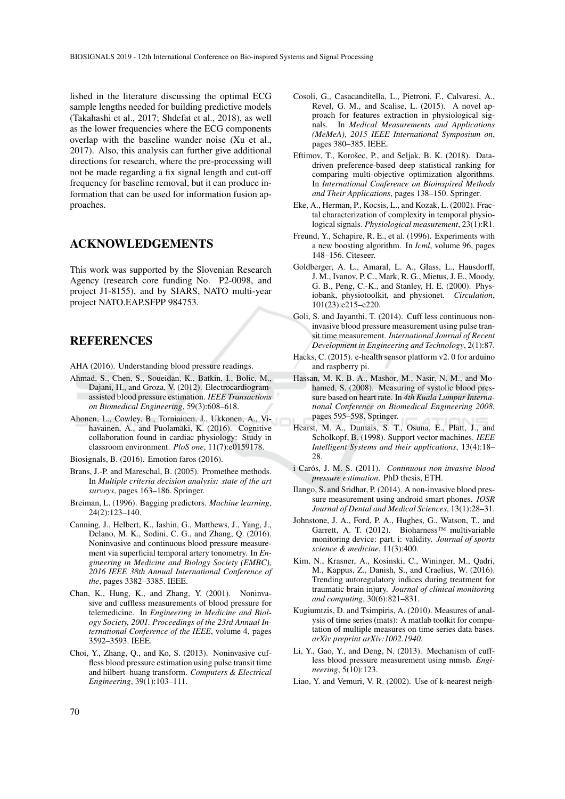lished in the literature discussing the optimal ECG sample lengths needed for building predictive models (Takahashi et al., 2017; Shdefat et al., 2018), as well as the lower frequencies where the ECG components overlap with the baseline wander noise (Xu et al., 2017). Also, this analysis can further give additional directions for research, where the pre-processing will not be made regarding a fix signal length and cut-off frequency for baseline removal, but it can produce information that can be used for information fusion approaches.

## ACKNOWLEDGEMENTS

This work was supported by the Slovenian Research Agency (research core funding No. P2-0098, and project J1-8155), and by SIARS, NATO multi-year project NATO.EAP.SFPP 984753.

### **REFERENCES**

- AHA (2016). Understanding blood pressure readings.
- Ahmad, S., Chen, S., Soueidan, K., Batkin, I., Bolic, M., Dajani, H., and Groza, V. (2012). Electrocardiogramassisted blood pressure estimation. *IEEE Transactions on Biomedical Engineering*, 59(3):608–618.
- Ahonen, L., Cowley, B., Torniainen, J., Ukkonen, A., Vihavainen, A., and Puolamäki, K. (2016). Cognitive collaboration found in cardiac physiology: Study in classroom environment. *PloS one*, 11(7):e0159178.

Biosignals, B. (2016). Emotion faros (2016).

- Brans, J.-P. and Mareschal, B. (2005). Promethee methods. In *Multiple criteria decision analysis: state of the art surveys*, pages 163–186. Springer.
- Breiman, L. (1996). Bagging predictors. *Machine learning*, 24(2):123–140.
- Canning, J., Helbert, K., Iashin, G., Matthews, J., Yang, J., Delano, M. K., Sodini, C. G., and Zhang, Q. (2016). Noninvasive and continuous blood pressure measurement via superficial temporal artery tonometry. In *Engineering in Medicine and Biology Society (EMBC), 2016 IEEE 38th Annual International Conference of the*, pages 3382–3385. IEEE.
- Chan, K., Hung, K., and Zhang, Y. (2001). Noninvasive and cuffless measurements of blood pressure for telemedicine. In *Engineering in Medicine and Biology Society, 2001. Proceedings of the 23rd Annual International Conference of the IEEE*, volume 4, pages 3592–3593. IEEE.
- Choi, Y., Zhang, Q., and Ko, S. (2013). Noninvasive cuffless blood pressure estimation using pulse transit time and hilbert–huang transform. *Computers & Electrical Engineering*, 39(1):103–111.
- Cosoli, G., Casacanditella, L., Pietroni, F., Calvaresi, A., Revel, G. M., and Scalise, L. (2015). A novel approach for features extraction in physiological signals. In *Medical Measurements and Applications (MeMeA), 2015 IEEE International Symposium on*, pages 380–385. IEEE.
- Eftimov, T., Korošec, P., and Seljak, B. K. (2018). Datadriven preference-based deep statistical ranking for comparing multi-objective optimization algorithms. In *International Conference on Bioinspired Methods and Their Applications*, pages 138–150. Springer.
- Eke, A., Herman, P., Kocsis, L., and Kozak, L. (2002). Fractal characterization of complexity in temporal physiological signals. *Physiological measurement*, 23(1):R1.
- Freund, Y., Schapire, R. E., et al. (1996). Experiments with a new boosting algorithm. In *Icml*, volume 96, pages 148–156. Citeseer.
- Goldberger, A. L., Amaral, L. A., Glass, L., Hausdorff, J. M., Ivanov, P. C., Mark, R. G., Mietus, J. E., Moody, G. B., Peng, C.-K., and Stanley, H. E. (2000). Physiobank, physiotoolkit, and physionet. *Circulation*, 101(23):e215–e220.
- Goli, S. and Jayanthi, T. (2014). Cuff less continuous noninvasive blood pressure measurement using pulse transit time measurement. *International Journal of Recent Development in Engineering and Technology*, 2(1):87.
- Hacks, C. (2015). e-health sensor platform v2. 0 for arduino and raspberry pi.
- Hassan, M. K. B. A., Mashor, M., Nasir, N. M., and Mohamed, S. (2008). Measuring of systolic blood pressure based on heart rate. In *4th Kuala Lumpur International Conference on Biomedical Engineering 2008*, pages 595–598. Springer.
- Hearst, M. A., Dumais, S. T., Osuna, E., Platt, J., and Scholkopf, B. (1998). Support vector machines. *IEEE Intelligent Systems and their applications*, 13(4):18– 28
- i Carós, J. M. S. (2011). Continuous non-invasive blood *pressure estimation*. PhD thesis, ETH.
- Ilango, S. and Sridhar, P. (2014). A non-invasive blood pressure measurement using android smart phones. *IOSR Journal of Dental and Medical Sciences*, 13(1):28–31.
- Johnstone, J. A., Ford, P. A., Hughes, G., Watson, T., and Garrett, A. T. (2012). Bioharness™ multivariable monitoring device: part. i: validity. *Journal of sports science & medicine*, 11(3):400.
- Kim, N., Krasner, A., Kosinski, C., Wininger, M., Qadri, M., Kappus, Z., Danish, S., and Craelius, W. (2016). Trending autoregulatory indices during treatment for traumatic brain injury. *Journal of clinical monitoring and computing*, 30(6):821–831.
- Kugiumtzis, D. and Tsimpiris, A. (2010). Measures of analysis of time series (mats): A matlab toolkit for computation of multiple measures on time series data bases. *arXiv preprint arXiv:1002.1940*.
- Li, Y., Gao, Y., and Deng, N. (2013). Mechanism of cuffless blood pressure measurement using mmsb. *Engineering*, 5(10):123.
- Liao, Y. and Vemuri, V. R. (2002). Use of k-nearest neigh-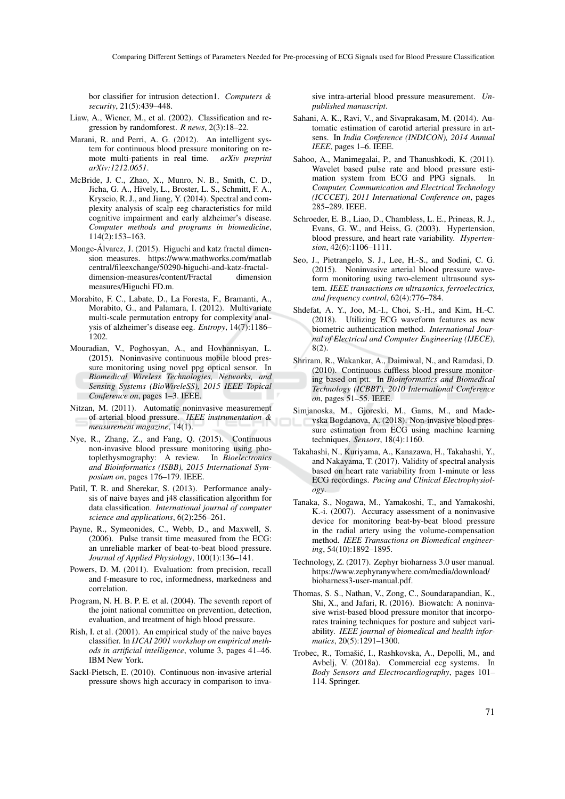bor classifier for intrusion detection1. *Computers & security*, 21(5):439–448.

- Liaw, A., Wiener, M., et al. (2002). Classification and regression by randomforest. *R news*, 2(3):18–22.
- Marani, R. and Perri, A. G. (2012). An intelligent system for continuous blood pressure monitoring on remote multi-patients in real time. *arXiv preprint arXiv:1212.0651*.
- McBride, J. C., Zhao, X., Munro, N. B., Smith, C. D., Jicha, G. A., Hively, L., Broster, L. S., Schmitt, F. A., Kryscio, R. J., and Jiang, Y. (2014). Spectral and complexity analysis of scalp eeg characteristics for mild cognitive impairment and early alzheimer's disease. *Computer methods and programs in biomedicine*, 114(2):153–163.
- Monge-Álvarez, J. (2015). Higuchi and katz fractal dimension measures. https://www.mathworks.com/matlab central/fileexchange/50290-higuchi-and-katz-fractaldimension-measures/content/Fractal measures/Higuchi FD.m.
- Morabito, F. C., Labate, D., La Foresta, F., Bramanti, A., Morabito, G., and Palamara, I. (2012). Multivariate multi-scale permutation entropy for complexity analysis of alzheimer's disease eeg. *Entropy*, 14(7):1186– 1202.
- Mouradian, V., Poghosyan, A., and Hovhannisyan, L. (2015). Noninvasive continuous mobile blood pressure monitoring using novel ppg optical sensor. In *Biomedical Wireless Technologies, Networks, and Sensing Systems (BioWireleSS), 2015 IEEE Topical Conference on*, pages 1–3. IEEE.
- Nitzan, M. (2011). Automatic noninvasive measurement of arterial blood pressure. *IEEE instrumentation & measurement magazine*, 14(1).
- Nye, R., Zhang, Z., and Fang, Q. (2015). Continuous non-invasive blood pressure monitoring using photoplethysmography: A review. In *Bioelectronics and Bioinformatics (ISBB), 2015 International Symposium on*, pages 176–179. IEEE.
- Patil, T. R. and Sherekar, S. (2013). Performance analysis of naive bayes and j48 classification algorithm for data classification. *International journal of computer science and applications*, 6(2):256–261.
- Payne, R., Symeonides, C., Webb, D., and Maxwell, S. (2006). Pulse transit time measured from the ECG: an unreliable marker of beat-to-beat blood pressure. *Journal of Applied Physiology*, 100(1):136–141.
- Powers, D. M. (2011). Evaluation: from precision, recall and f-measure to roc, informedness, markedness and correlation.
- Program, N. H. B. P. E. et al. (2004). The seventh report of the joint national committee on prevention, detection, evaluation, and treatment of high blood pressure.
- Rish, I. et al. (2001). An empirical study of the naive bayes classifier. In *IJCAI 2001 workshop on empirical methods in artificial intelligence*, volume 3, pages 41–46. IBM New York.
- Sackl-Pietsch, E. (2010). Continuous non-invasive arterial pressure shows high accuracy in comparison to inva-

sive intra-arterial blood pressure measurement. *Unpublished manuscript*.

- Sahani, A. K., Ravi, V., and Sivaprakasam, M. (2014). Automatic estimation of carotid arterial pressure in artsens. In *India Conference (INDICON), 2014 Annual IEEE*, pages 1–6. IEEE.
- Sahoo, A., Manimegalai, P., and Thanushkodi, K. (2011). Wavelet based pulse rate and blood pressure estimation system from ECG and PPG signals. In *Computer, Communication and Electrical Technology (ICCCET), 2011 International Conference on*, pages 285–289. IEEE.
- Schroeder, E. B., Liao, D., Chambless, L. E., Prineas, R. J., Evans, G. W., and Heiss, G. (2003). Hypertension, blood pressure, and heart rate variability. *Hypertension*, 42(6):1106–1111.
- Seo, J., Pietrangelo, S. J., Lee, H.-S., and Sodini, C. G. (2015). Noninvasive arterial blood pressure waveform monitoring using two-element ultrasound system. *IEEE transactions on ultrasonics, ferroelectrics, and frequency control*, 62(4):776–784.
- Shdefat, A. Y., Joo, M.-I., Choi, S.-H., and Kim, H.-C. (2018). Utilizing ECG waveform features as new biometric authentication method. *International Journal of Electrical and Computer Engineering (IJECE)*, 8(2).
- Shriram, R., Wakankar, A., Daimiwal, N., and Ramdasi, D. (2010). Continuous cuffless blood pressure monitoring based on ptt. In *Bioinformatics and Biomedical Technology (ICBBT), 2010 International Conference on*, pages 51–55. IEEE.
- Simjanoska, M., Gjoreski, M., Gams, M., and Madevska Bogdanova, A. (2018). Non-invasive blood pressure estimation from ECG using machine learning techniques. *Sensors*, 18(4):1160.
- Takahashi, N., Kuriyama, A., Kanazawa, H., Takahashi, Y., and Nakayama, T. (2017). Validity of spectral analysis based on heart rate variability from 1-minute or less ECG recordings. *Pacing and Clinical Electrophysiology*.
- Tanaka, S., Nogawa, M., Yamakoshi, T., and Yamakoshi, K.-i. (2007). Accuracy assessment of a noninvasive device for monitoring beat-by-beat blood pressure in the radial artery using the volume-compensation method. *IEEE Transactions on Biomedical engineering*, 54(10):1892–1895.
- Technology, Z. (2017). Zephyr bioharness 3.0 user manual. https://www.zephyranywhere.com/media/download/ bioharness3-user-manual.pdf.
- Thomas, S. S., Nathan, V., Zong, C., Soundarapandian, K., Shi, X., and Jafari, R. (2016). Biowatch: A noninvasive wrist-based blood pressure monitor that incorporates training techniques for posture and subject variability. *IEEE journal of biomedical and health informatics*, 20(5):1291–1300.
- Trobec, R., Tomašić, I., Rashkovska, A., Depolli, M., and Avbelj, V. (2018a). Commercial ecg systems. In *Body Sensors and Electrocardiography*, pages 101– 114. Springer.